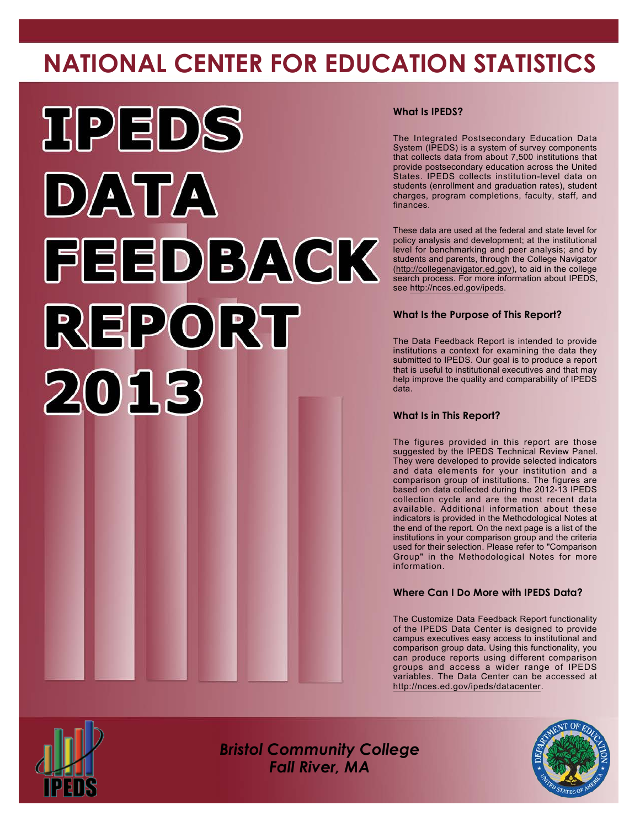# **NATIONAL CENTER FOR EDUCATION STATISTICS**



#### **What Is IPEDS?**

The Integrated Postsecondary Education Data System (IPEDS) is a system of survey components that collects data from about 7,500 institutions that provide postsecondary education across the United States. IPEDS collects institution-level data on students (enrollment and graduation rates), student charges, program completions, faculty, staff, and finances.

These data are used at the federal and state level for policy analysis and development; at the institutional level for benchmarking and peer analysis; and by students and parents, through the College Navigator [\(http://collegenavigator.ed.gov\)](http://collegenavigator.ed.gov), to aid in the college search process. For more information about IPEDS, see <http://nces.ed.gov/ipeds>.

#### **What Is the Purpose of This Report?**

The Data Feedback Report is intended to provide institutions a context for examining the data they submitted to IPEDS. Our goal is to produce a report that is useful to institutional executives and that may help improve the quality and comparability of IPEDS data.

#### **What Is in This Report?**

The figures provided in this report are those suggested by the IPEDS Technical Review Panel. They were developed to provide selected indicators and data elements for your institution and a comparison group of institutions. The figures are based on data collected during the 2012-13 IPEDS collection cycle and are the most recent data available. Additional information about these indicators is provided in the Methodological Notes at the end of the report. On the next page is a list of the institutions in your comparison group and the criteria used for their selection. Please refer to "Comparison Group" in the Methodological Notes for more information.

#### **Where Can I Do More with IPEDS Data?**

The Customize Data Feedback Report functionality of the IPEDS Data Center is designed to provide campus executives easy access to institutional and comparison group data. Using this functionality, you can produce reports using different comparison groups and access a wider range of IPEDS variables. The Data Center can be accessed at <http://nces.ed.gov/ipeds/datacenter>.



*Bristol Community College Fall River, MA*

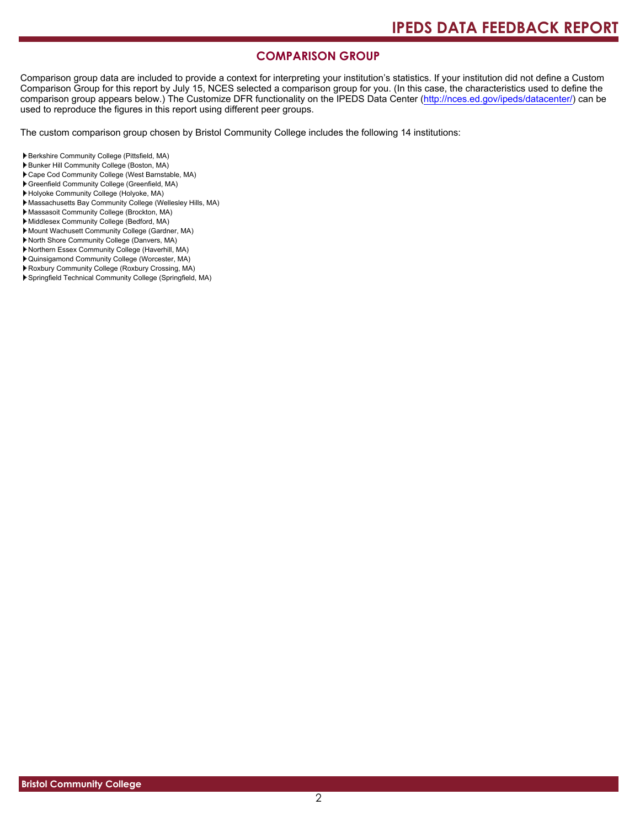#### **COMPARISON GROUP**

Comparison group data are included to provide a context for interpreting your institution's statistics. If your institution did not define a Custom Comparison Group for this report by July 15, NCES selected a comparison group for you. (In this case, the characteristics used to define the comparison group appears below.) The Customize DFR functionality on the IPEDS Data Center [\(http://nces.ed.gov/ipeds/datacenter/\)](http://nces.ed.gov/ipeds/datacenter/) can be used to reproduce the figures in this report using different peer groups.

The custom comparison group chosen by Bristol Community College includes the following 14 institutions:

- Berkshire Community College (Pittsfield, MA)
- Bunker Hill Community College (Boston, MA)
- Cape Cod Community College (West Barnstable, MA)
- Greenfield Community College (Greenfield, MA)
- Holyoke Community College (Holyoke, MA)
- Massachusetts Bay Community College (Wellesley Hills, MA)
- Massasoit Community College (Brockton, MA) Middlesex Community College (Bedford, MA)
- Mount Wachusett Community College (Gardner, MA)
- North Shore Community College (Danvers, MA)
- Northern Essex Community College (Haverhill, MA)
- Quinsigamond Community College (Worcester, MA)
- Roxbury Community College (Roxbury Crossing, MA)
- Springfield Technical Community College (Springfield, MA)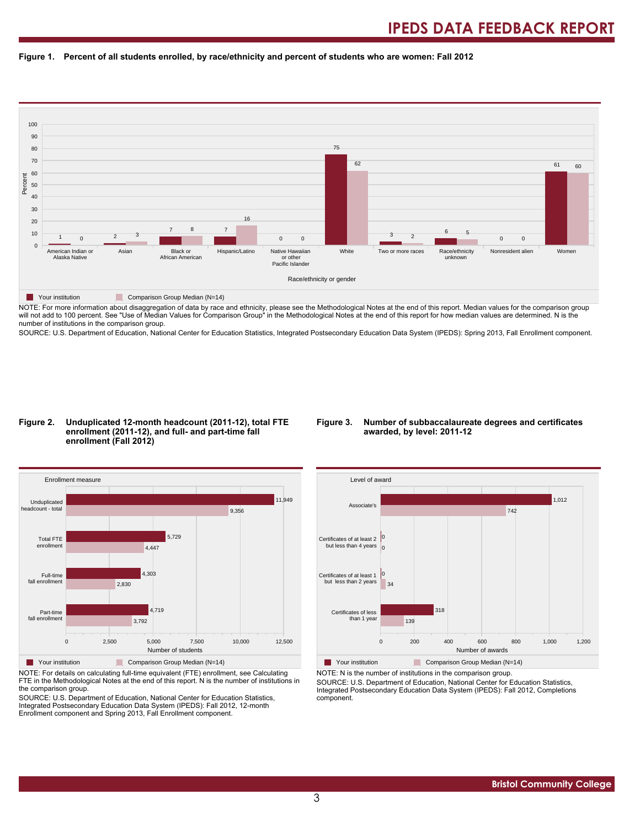#### **Figure 1. Percent of all students enrolled, by race/ethnicity and percent of students who are women: Fall 2012**



NOTE: For more information about disaggregation of data by race and ethnicity, please see the Methodological Notes at the end of this report. Median values for the comparison group will not add to 100 percent. See "Use of Median Values for Comparison Group" in the Methodological Notes at the end of this report for how median values are determined. N is the number of institutions in the comparison group.

SOURCE: U.S. Department of Education, National Center for Education Statistics, Integrated Postsecondary Education Data System (IPEDS): Spring 2013, Fall Enrollment component.

#### **Figure 2. Unduplicated 12-month headcount (2011-12), total FTE enrollment (2011-12), and full- and part-time fall enrollment (Fall 2012)**

#### **Figure 3. Number of subbaccalaureate degrees and certificates awarded, by level: 2011-12**



NOTE: For details on calculating full-time equivalent (FTE) enrollment, see Calculating FTE in the Methodological Notes at the end of this report. N is the number of institutions in the comparison group.

SOURCE: U.S. Department of Education, National Center for Education Statistics, Integrated Postsecondary Education Data System (IPEDS): Fall 2012, 12-month Enrollment component and Spring 2013, Fall Enrollment component.



Your institution Comparison Group Median (N=14) NOTE: N is the number of institutions in the comparison group.

SOURCE: U.S. Department of Education, National Center for Education Statistics, Integrated Postsecondary Education Data System (IPEDS): Fall 2012, Completions component.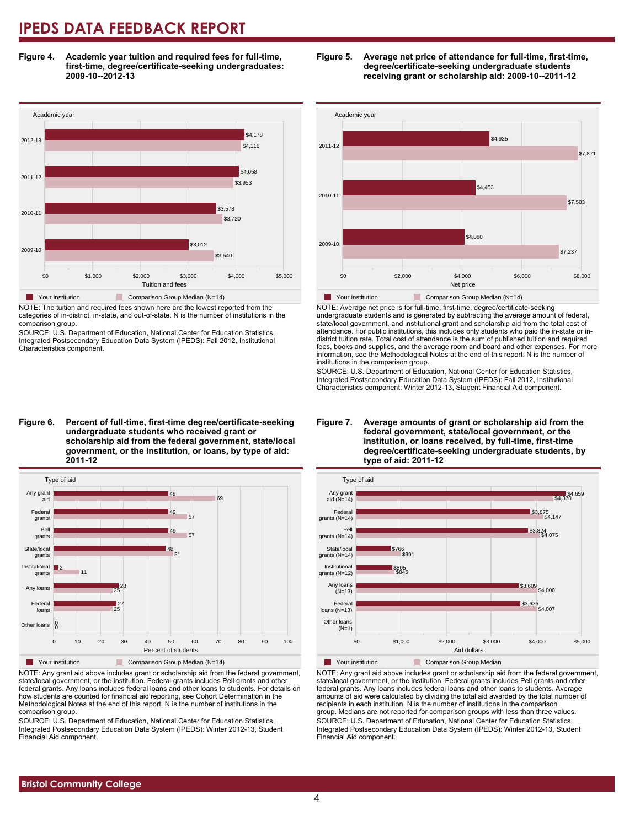**Figure 4. Academic year tuition and required fees for full-time, first-time, degree/certificate-seeking undergraduates: 2009-10--2012-13**



NOTE: The tuition and required fees shown here are the lowest reported from the categories of in-district, in-state, and out-of-state. N is the number of institutions in the comparison group.

SOURCE: U.S. Department of Education, National Center for Education Statistics, Integrated Postsecondary Education Data System (IPEDS): Fall 2012, Institutional Characteristics component.

**Figure 6. Percent of full-time, first-time degree/certificate-seeking undergraduate students who received grant or scholarship aid from the federal government, state/local government, or the institution, or loans, by type of aid: 2011-12**



NOTE: Any grant aid above includes grant or scholarship aid from the federal government, state/local government, or the institution. Federal grants includes Pell grants and other federal grants. Any loans includes federal loans and other loans to students. For details on how students are counted for financial aid reporting, see Cohort Determination in the Methodological Notes at the end of this report. N is the number of institutions in the comparison group.

SOURCE: U.S. Department of Education, National Center for Education Statistics, Integrated Postsecondary Education Data System (IPEDS): Winter 2012-13, Student Financial Aid component.





NOTE: Average net price is for full-time, first-time, degree/certificate-seeking undergraduate students and is generated by subtracting the average amount of federal, state/local government, and institutional grant and scholarship aid from the total cost of attendance. For public institutions, this includes only students who paid the in-state or indistrict tuition rate. Total cost of attendance is the sum of published tuition and required fees, books and supplies, and the average room and board and other expenses. For more information, see the Methodological Notes at the end of this report. N is the number of institutions in the comparison group.

SOURCE: U.S. Department of Education, National Center for Education Statistics, Integrated Postsecondary Education Data System (IPEDS): Fall 2012, Institutional Characteristics component; Winter 2012-13, Student Financial Aid component.





NOTE: Any grant aid above includes grant or scholarship aid from the federal government, state/local government, or the institution. Federal grants includes Pell grants and other federal grants. Any loans includes federal loans and other loans to students. Average amounts of aid were calculated by dividing the total aid awarded by the total number of recipients in each institution. N is the number of institutions in the comparison group. Medians are not reported for comparison groups with less than three values. SOURCE: U.S. Department of Education, National Center for Education Statistics, Integrated Postsecondary Education Data System (IPEDS): Winter 2012-13, Student Financial Aid component.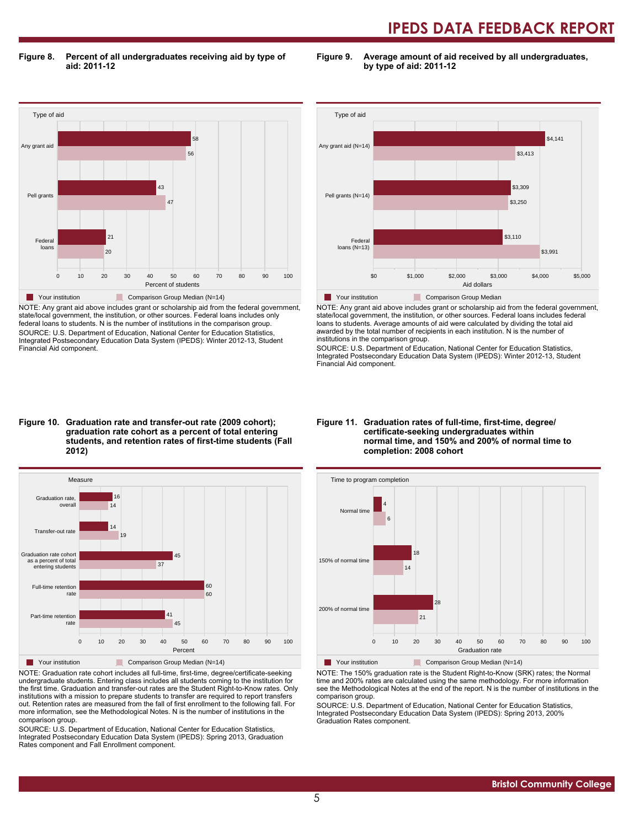**Figure 8. Percent of all undergraduates receiving aid by type of aid: 2011-12**

**Figure 9. Average amount of aid received by all undergraduates, by type of aid: 2011-12**



NOTE: Any grant aid above includes grant or scholarship aid from the federal government, state/local government, the institution, or other sources. Federal loans includes only federal loans to students. N is the number of institutions in the comparison group. SOURCE: U.S. Department of Education, National Center for Education Statistics, Integrated Postsecondary Education Data System (IPEDS): Winter 2012-13, Student Financial Aid component.



NOTE: Any grant aid above includes grant or scholarship aid from the federal government, state/local government, the institution, or other sources. Federal loans includes federal loans to students. Average amounts of aid were calculated by dividing the total aid awarded by the total number of recipients in each institution. N is the number of institutions in the comparison group.

SOURCE: U.S. Department of Education, National Center for Education Statistics, Integrated Postsecondary Education Data System (IPEDS): Winter 2012-13, Student Financial Aid component.

#### **Figure 10. Graduation rate and transfer-out rate (2009 cohort); graduation rate cohort as a percent of total entering students, and retention rates of first-time students (Fall 2012)**



NOTE: Graduation rate cohort includes all full-time, first-time, degree/certificate-seeking undergraduate students. Entering class includes all students coming to the institution for the first time. Graduation and transfer-out rates are the Student Right-to-Know rates. Only institutions with a mission to prepare students to transfer are required to report transfers out. Retention rates are measured from the fall of first enrollment to the following fall. For more information, see the Methodological Notes. N is the number of institutions in the comparison group.

SOURCE: U.S. Department of Education, National Center for Education Statistics, Integrated Postsecondary Education Data System (IPEDS): Spring 2013, Graduation Rates component and Fall Enrollment component.

#### **Figure 11. Graduation rates of full-time, first-time, degree/ certificate-seeking undergraduates within normal time, and 150% and 200% of normal time to completion: 2008 cohort**



Your institution Comparison Group Median (N=14)

NOTE: The 150% graduation rate is the Student Right-to-Know (SRK) rates; the Normal time and 200% rates are calculated using the same methodology. For more information see the Methodological Notes at the end of the report. N is the number of institutions in the comparison group.

SOURCE: U.S. Department of Education, National Center for Education Statistics, Integrated Postsecondary Education Data System (IPEDS): Spring 2013, 200% Graduation Rates component.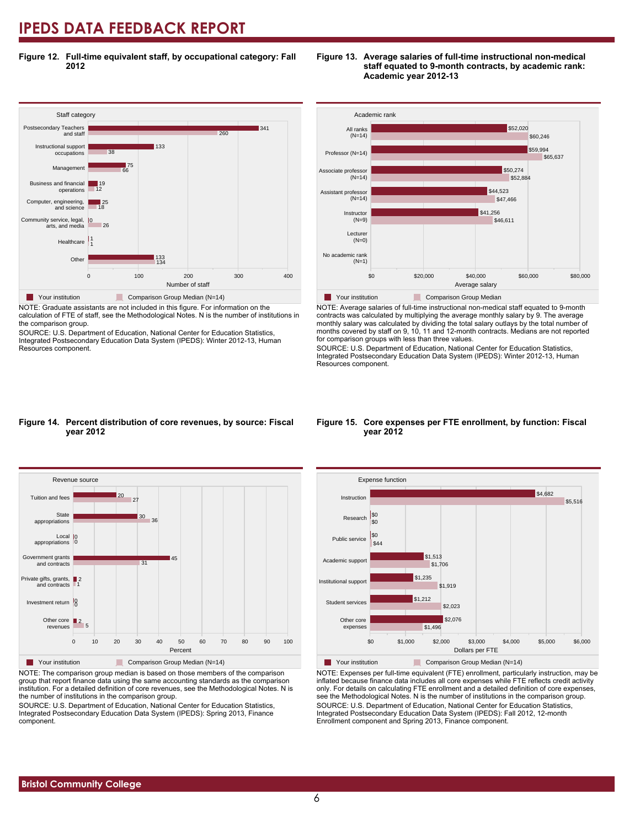**Figure 12. Full-time equivalent staff, by occupational category: Fall 2012**



NOTE: Graduate assistants are not included in this figure. For information on the calculation of FTE of staff, see the Methodological Notes. N is the number of institutions in the comparison group.

SOURCE: U.S. Department of Education, National Center for Education Statistics, Integrated Postsecondary Education Data System (IPEDS): Winter 2012-13, Human Resources component.



**Figure 13. Average salaries of full-time instructional non-medical**

**Academic year 2012-13**

**staff equated to 9-month contracts, by academic rank:**

**Table Your institution** Comparison Group Median NOTE: Average salaries of full-time instructional non-medical staff equated to 9-month contracts was calculated by multiplying the average monthly salary by 9. The average monthly salary was calculated by dividing the total salary outlays by the total number of months covered by staff on 9, 10, 11 and 12-month contracts. Medians are not reported for comparison groups with less than three values.

Average salary

SOURCE: U.S. Department of Education, National Center for Education Statistics, Integrated Postsecondary Education Data System (IPEDS): Winter 2012-13, Human Resources component.

#### **Figure 14. Percent distribution of core revenues, by source: Fiscal year 2012**



NOTE: The comparison group median is based on those members of the comparison group that report finance data using the same accounting standards as the comparison institution. For a detailed definition of core revenues, see the Methodological Notes. N is the number of institutions in the comparison group.

SOURCE: U.S. Department of Education, National Center for Education Statistics, Integrated Postsecondary Education Data System (IPEDS): Spring 2013, Finance component.

#### **Figure 15. Core expenses per FTE enrollment, by function: Fiscal year 2012**



NOTE: Expenses per full-time equivalent (FTE) enrollment, particularly instruction, may be inflated because finance data includes all core expenses while FTE reflects credit activity only. For details on calculating FTE enrollment and a detailed definition of core expenses, see the Methodological Notes. N is the number of institutions in the comparison group. SOURCE: U.S. Department of Education, National Center for Education Statistics, Integrated Postsecondary Education Data System (IPEDS): Fall 2012, 12-month Enrollment component and Spring 2013, Finance component.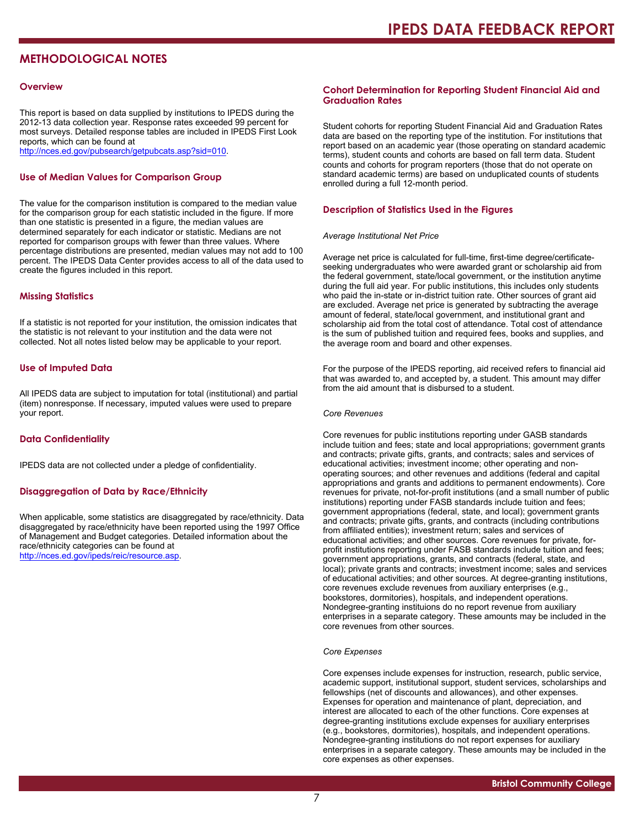### **METHODOLOGICAL NOTES**

#### **Overview**

This report is based on data supplied by institutions to IPEDS during the 2012-13 data collection year. Response rates exceeded 99 percent for most surveys. Detailed response tables are included in IPEDS First Look reports, which can be found at [http://nces.ed.gov/pubsearch/getpubcats.asp?sid=010.](http://nces.ed.gov/pubsearch/getpubcats.asp?sid=010)

#### **Use of Median Values for Comparison Group**

The value for the comparison institution is compared to the median value for the comparison group for each statistic included in the figure. If more than one statistic is presented in a figure, the median values are determined separately for each indicator or statistic. Medians are not reported for comparison groups with fewer than three values. Where percentage distributions are presented, median values may not add to 100 percent. The IPEDS Data Center provides access to all of the data used to create the figures included in this report.

#### **Missing Statistics**

If a statistic is not reported for your institution, the omission indicates that the statistic is not relevant to your institution and the data were not collected. Not all notes listed below may be applicable to your report.

#### **Use of Imputed Data**

All IPEDS data are subject to imputation for total (institutional) and partial (item) nonresponse. If necessary, imputed values were used to prepare your report.

#### **Data Confidentiality**

IPEDS data are not collected under a pledge of confidentiality.

#### **Disaggregation of Data by Race/Ethnicity**

When applicable, some statistics are disaggregated by race/ethnicity. Data disaggregated by race/ethnicity have been reported using the 1997 Office of Management and Budget categories. Detailed information about the race/ethnicity categories can be found at <http://nces.ed.gov/ipeds/reic/resource.asp>.

#### **Cohort Determination for Reporting Student Financial Aid and Graduation Rates**

Student cohorts for reporting Student Financial Aid and Graduation Rates data are based on the reporting type of the institution. For institutions that report based on an academic year (those operating on standard academic terms), student counts and cohorts are based on fall term data. Student counts and cohorts for program reporters (those that do not operate on standard academic terms) are based on unduplicated counts of students enrolled during a full 12-month period.

#### **Description of Statistics Used in the Figures**

#### *Average Institutional Net Price*

Average net price is calculated for full-time, first-time degree/certificateseeking undergraduates who were awarded grant or scholarship aid from the federal government, state/local government, or the institution anytime during the full aid year. For public institutions, this includes only students who paid the in-state or in-district tuition rate. Other sources of grant aid are excluded. Average net price is generated by subtracting the average amount of federal, state/local government, and institutional grant and scholarship aid from the total cost of attendance. Total cost of attendance is the sum of published tuition and required fees, books and supplies, and the average room and board and other expenses.

For the purpose of the IPEDS reporting, aid received refers to financial aid that was awarded to, and accepted by, a student. This amount may differ from the aid amount that is disbursed to a student.

#### *Core Revenues*

Core revenues for public institutions reporting under GASB standards include tuition and fees; state and local appropriations; government grants and contracts; private gifts, grants, and contracts; sales and services of educational activities; investment income; other operating and nonoperating sources; and other revenues and additions (federal and capital appropriations and grants and additions to permanent endowments). Core revenues for private, not-for-profit institutions (and a small number of public institutions) reporting under FASB standards include tuition and fees; government appropriations (federal, state, and local); government grants and contracts; private gifts, grants, and contracts (including contributions from affiliated entities); investment return; sales and services of educational activities; and other sources. Core revenues for private, forprofit institutions reporting under FASB standards include tuition and fees; government appropriations, grants, and contracts (federal, state, and local); private grants and contracts; investment income; sales and services of educational activities; and other sources. At degree-granting institutions, core revenues exclude revenues from auxiliary enterprises (e.g., bookstores, dormitories), hospitals, and independent operations. Nondegree-granting instituions do no report revenue from auxiliary enterprises in a separate category. These amounts may be included in the core revenues from other sources.

#### *Core Expenses*

Core expenses include expenses for instruction, research, public service, academic support, institutional support, student services, scholarships and fellowships (net of discounts and allowances), and other expenses. Expenses for operation and maintenance of plant, depreciation, and interest are allocated to each of the other functions. Core expenses at degree-granting institutions exclude expenses for auxiliary enterprises (e.g., bookstores, dormitories), hospitals, and independent operations. Nondegree-granting institutions do not report expenses for auxiliary enterprises in a separate category. These amounts may be included in the core expenses as other expenses.